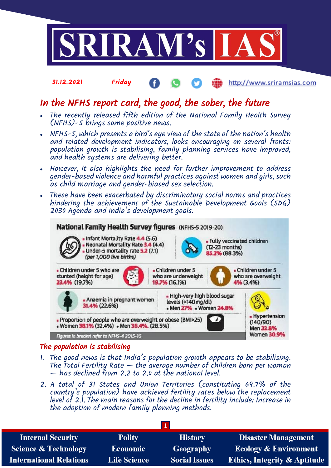

### 31.12.2021 Friday http://www.sriramsias.com

# In the NFHS report card, the good, the sober, the future

- The recently released fifth edition of the National Family Health Survey (NFHS)-5 brings some positive news.
- NFHS-5, which presents a bird's eye view of the state of the nation's health and related development indicators, looks encouraging on several fronts: population growth is stabilising, family planning services have improved, and health systems are delivering better.
- However, it also highlights the need for further improvement to address gender-based violence and harmful practices against women and girls, such as child marriage and gender-biased sex selection.
- These have been exacerbated by discriminatory social norms and practices hindering the achievement of the Sustainable Development Goals (SDG) 2030 Agenda and India's development goals.



# The population is stabilising

- 1. The good news is that India's population growth appears to be stabilising. The Total Fertility Rate  $-$  the average number of children born per woman — has declined from 2.2 to 2.0 at the national level.
- 2. A total of 31 States and Union Territories (constituting 69.7% of the country's population) have achieved fertility rates below the replacement level of 2.1. The main reasons for the decline in fertility include: Increase in the adoption of modern family planning methods.

| <b>Internal Security</b>        | <b>Polity</b>       | <b>History</b>       | <b>Disaster Management</b>              |
|---------------------------------|---------------------|----------------------|-----------------------------------------|
| <b>Science &amp; Technology</b> | <b>Economic</b>     | Geography            | <b>Ecology &amp; Environment</b>        |
| <b>International Relations</b>  | <b>Life Science</b> | <b>Social Issues</b> | <b>Ethics, Integrity &amp; Aptitude</b> |
|                                 |                     |                      |                                         |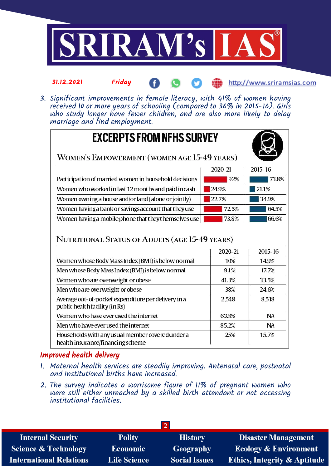

### 31.12.2021 Friday **(iii)** http://www.sriramsias.com

3. Significant improvements in female literacy, with 41% of women having received 10 or more years of schooling (compared to 36% in 2015-16). Girls who study longer have fewer children, and are also more likely to delay marriage and find employment.

| <b>EXCERPTS FROM NFHS SURVEY</b>                      |         |         |
|-------------------------------------------------------|---------|---------|
| WOMEN'S EMPOWERMENT (WOMEN AGE 15-49 YEARS)           |         |         |
|                                                       | 2020-21 | 2015-16 |
| Participation of married women in household decisions | 92%     | 73.8%   |
| Women who worked in last 12 months and paid in cash   | 24.9%   | 21.1%   |
| Women owning a house and/or land (alone or jointly)   | 22.7%   | 34.9%   |
| Women having a bank or savings account that they use  | 72.5%   | 64.5%   |
| Women having a mobile phone that they themselves use  | 73.8%   | 66.6%   |

# NUTRITIONAL STATUS OF ADULTS (AGE 15-49 YEARS)

|                                                                                       | 2020-21 | 2015-16   |
|---------------------------------------------------------------------------------------|---------|-----------|
| Women whose Body Mass Index (BMI) is below normal                                     | 10%     | 14.9%     |
| Men whose Body Mass Index (BMI) is below normal                                       | 9.1%    | 17.7%     |
| Women who are overweight or obese                                                     | 41.3%   | 33.5%     |
| Men who are overweight or obese                                                       | 38%     | 24.6%     |
| Average out-of-pocket expenditure per delivery in a<br>public health facility (in Rs) | 2,548   | 8,518     |
| Women who have ever used the internet                                                 | 63.8%   | <b>NA</b> |
| Men who have ever used the internet                                                   | 85.2%   | ΝA        |
| Households with any usual member covered under a<br>health insurance/financing scheme | 25%     | 15.7%     |

# Improved health delivery

- 1. Maternal health services are steadily improving. Antenatal care, postnatal and Institutional births have increased.
- 2. The survey indicates a worrisome figure of 11% of pregnant women who were still either unreached by a skilled birth attendant or not accessing institutional facilities.

| <b>Internal Security</b>       | <b>Polity</b>       | <b>History</b>       | <b>Disaster Management</b>              |
|--------------------------------|---------------------|----------------------|-----------------------------------------|
| Science & Technology           | Economic            | Geography            | <b>Ecology &amp; Environment</b>        |
| <b>International Relations</b> | <b>Life Science</b> | <b>Social Issues</b> | <b>Ethics, Integrity &amp; Aptitude</b> |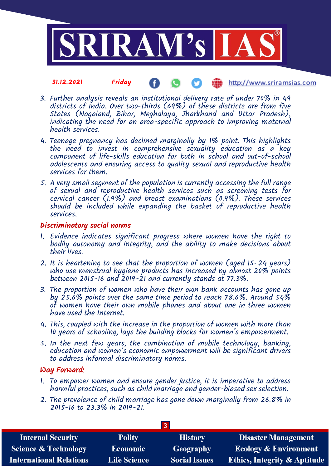

#### 31.12.2021 Friday **(iii)** http://www.sriramsias.com

- 3. Further analysis reveals an institutional delivery rate of under 70% in 49 districts of India. Over two-thirds (69%) of these districts are from five States (Nagaland, Bihar, Meghalaya, Jharkhand and Uttar Pradesh), indicating the need for an area-specific approach to improving maternal health services.
- 4. Teenage pregnancy has declined marginally by 1% point. This highlights the need to invest in comprehensive sexuality education as a key component of life-skills education for both in school and out-of-school adolescents and ensuring access to quality sexual and reproductive health services for them.
- 5. A very small segment of the population is currently accessing the full range of sexual and reproductive health services such as screening tests for cervical cancer (1.9%) and breast examinations (0.9%). These services should be included while expanding the basket of reproductive health services.

### Discriminatory social norms

- 1. Evidence indicates significant progress where women have the right to bodily autonomy and integrity, and the ability to make decisions about their lives.
- 2. It is heartening to see that the proportion of women (aged 15-24 years) who use menstrual hygiene products has increased by almost 20% points between 2015-16 and 2019-21 and currently stands at 77.3%.
- 3. The proportion of women who have their own bank accounts has gone up by 25.6% points over the same time period to reach 78.6%. Around 54% of women have their own mobile phones and about one in three women have used the Internet.
- 4. This, coupled with the increase in the proportion of women with more than 10 years of schooling, lays the building blocks for women's empowerment.
- 5. In the next few years, the combination of mobile technology, banking, education and women's economic empowerment will be significant drivers to address informal discriminatory norms.

### Way Forward:

- 1. To empower women and ensure gender justice, it is imperative to address harmful practices, such as child marriage and gender-biased sex selection.
- 2. The prevalence of child marriage has gone down marginally from 26.8% in 2015-16 to 23.3% in 2019-21.

| <b>Internal Security</b>        | <b>Polity</b>       | <b>History</b>       | <b>Disaster Management</b>              |
|---------------------------------|---------------------|----------------------|-----------------------------------------|
| <b>Science &amp; Technology</b> | <b>Economic</b>     | Geography            | <b>Ecology &amp; Environment</b>        |
| <b>International Relations</b>  | <b>Life Science</b> | <b>Social Issues</b> | <b>Ethics, Integrity &amp; Aptitude</b> |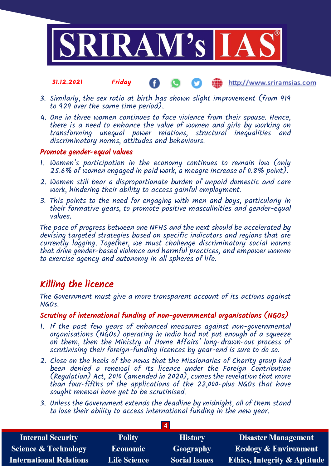

#### 31.12.2021 Friday http://www.sriramsias.com

- 3. Similarly, the sex ratio at birth has shown slight improvement (from 919 to 929 over the same time period).
- 4. One in three women continues to face violence from their spouse. Hence, there is a need to enhance the value of women and girls by working on transforming unequal power relations, structural inequalities and discriminatory norms, attitudes and behaviours.

# Promote gender-equal values

- 1. Women's participation in the economy continues to remain low (only 25.6% of women engaged in paid work, a meagre increase of 0.8% point).
- 2. Women still bear a disproportionate burden of unpaid domestic and care work, hindering their ability to access gainful employment.
- 3. This points to the need for engaging with men and boys, particularly in their formative years, to promote positive masculinities and gender-equal values.

The pace of progress between one NFHS and the next should be accelerated by devising targeted strategies based on specific indicators and regions that are currently lagging. Together, we must challenge discriminatory social norms that drive gender-based violence and harmful practices, and empower women to exercise agency and autonomy in all spheres of life.

# Killing the licence

The Government must give a more transparent account of its actions against NGOs.

## Scrutiny of international funding of non-governmental organisations (NGOs)

- 1. If the past few years of enhanced measures against non-governmental organisations (NGOs) operating in India had not put enough of a squeeze on them, then the Ministry of Home Affairs' long-drawn-out process of scrutinising their foreign-funding licences by year-end is sure to do so.
- 2. Close on the heels of the news that the Missionaries of Charity group had been denied a renewal of its licence under the Foreign Contribution (Regulation) Act, 2010 (amended in 2020), comes the revelation that more than four-fifths of the applications of the 22,000-plus NGOs that have sought renewal have yet to be scrutinised.
- 3. Unless the Government extends the deadline by midnight, all of them stand to lose their ability to access international funding in the new year.

| <b>Internal Security</b>        | <b>Polity</b>       | <b>History</b>       | <b>Disaster Management</b>              |
|---------------------------------|---------------------|----------------------|-----------------------------------------|
| <b>Science &amp; Technology</b> | <b>Economic</b>     | Geography            | <b>Ecology &amp; Environment</b>        |
| <b>International Relations</b>  | <b>Life Science</b> | <b>Social Issues</b> | <b>Ethics, Integrity &amp; Aptitude</b> |